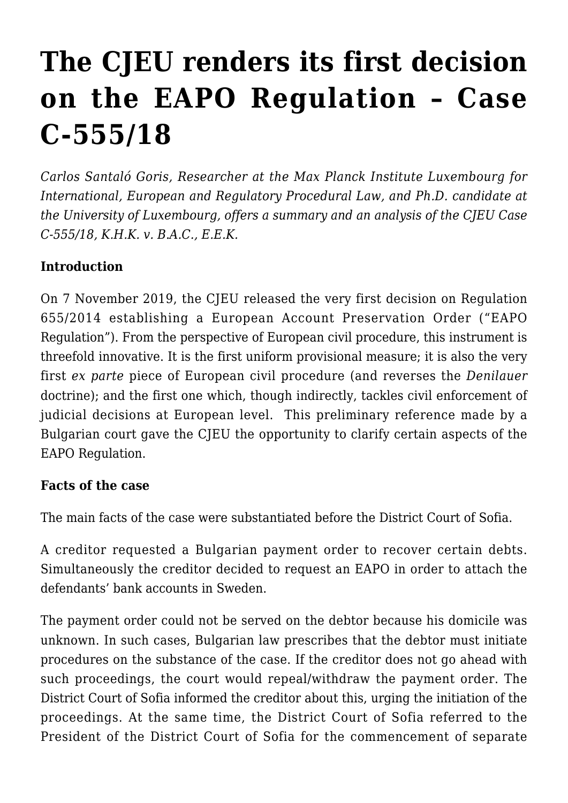# **[The CJEU renders its first decision](https://conflictoflaws.net/2019/the-cjeu-renders-its-first-decision-on-the-eapo-regulation-case-c-555-18/) [on the EAPO Regulation – Case](https://conflictoflaws.net/2019/the-cjeu-renders-its-first-decision-on-the-eapo-regulation-case-c-555-18/) [C-555/18](https://conflictoflaws.net/2019/the-cjeu-renders-its-first-decision-on-the-eapo-regulation-case-c-555-18/)**

*Carlos Santaló Goris, Researcher at the Max Planck Institute Luxembourg for International, European and Regulatory Procedural Law, and Ph.D. candidate at the University of Luxembourg, offers a summary and an analysis of the CJEU [Case](http://curia.europa.eu/juris/document/document.jsf?text=&docid=220353&pageIndex=0&doclang=EN&mode=req&dir=&occ=first&part=1&cid=726657) [C-555/18,](http://curia.europa.eu/juris/document/document.jsf?text=&docid=220353&pageIndex=0&doclang=EN&mode=req&dir=&occ=first&part=1&cid=726657) K.H.K. v. B.A.C., E.E.K.*

## **Introduction**

On 7 November 2019, the CJEU released the very first decision on Regulation 655/2014 establishing a European Account Preservation Order ("EAPO Regulation"). From the perspective of European civil procedure, this instrument is threefold innovative. It is the first uniform provisional measure; it is also the very first *ex parte* piece of European civil procedure (and reverses the *Denilauer* doctrine); and the first one which, though indirectly, tackles civil enforcement of judicial decisions at European level. This preliminary reference made by a Bulgarian court gave the CJEU the opportunity to clarify certain aspects of the EAPO Regulation.

### **Facts of the case**

The main facts of the case were substantiated before the District Court of Sofia.

A creditor requested a Bulgarian payment order to recover certain debts. Simultaneously the creditor decided to request an EAPO in order to attach the defendants' bank accounts in Sweden.

The payment order could not be served on the debtor because his domicile was unknown. In such cases, Bulgarian law prescribes that the debtor must initiate procedures on the substance of the case. If the creditor does not go ahead with such proceedings, the court would repeal/withdraw the payment order. The District Court of Sofia informed the creditor about this, urging the initiation of the proceedings. At the same time, the District Court of Sofia referred to the President of the District Court of Sofia for the commencement of separate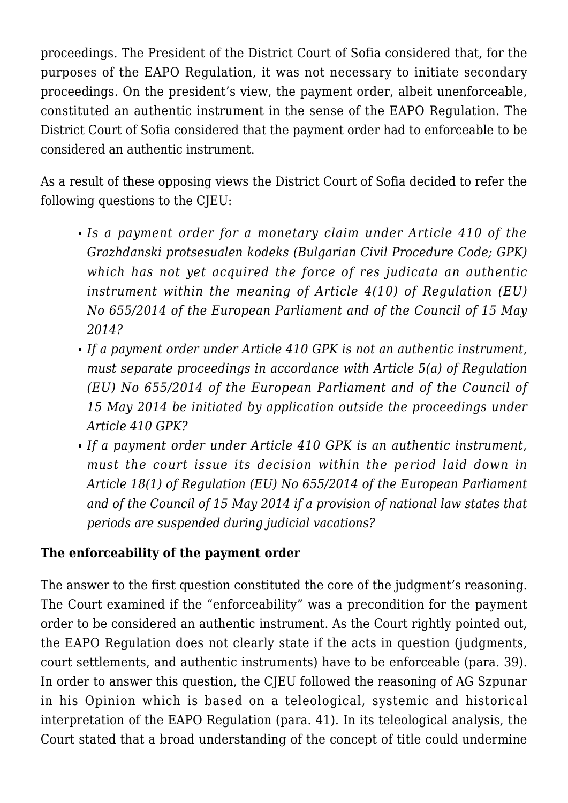proceedings. The President of the District Court of Sofia considered that, for the purposes of the EAPO Regulation, it was not necessary to initiate secondary proceedings. On the president's view, the payment order, albeit unenforceable, constituted an authentic instrument in the sense of the EAPO Regulation. The District Court of Sofia considered that the payment order had to enforceable to be considered an authentic instrument.

As a result of these opposing views the District Court of Sofia decided to refer the following questions to the CJEU:

- *Is a payment order for a monetary claim under Article 410 of the Grazhdanski protsesualen kodeks (Bulgarian Civil Procedure Code; GPK) which has not yet acquired the force of res judicata an authentic instrument within the meaning of Article 4(10) of Regulation (EU) No 655/2014 of the European Parliament and of the Council of 15 May 2014?*
- *If a payment order under Article 410 GPK is not an authentic instrument, must separate proceedings in accordance with Article 5(a) of Regulation (EU) No 655/2014 of the European Parliament and of the Council of 15 May 2014 be initiated by application outside the proceedings under Article 410 GPK?*
- *If a payment order under Article 410 GPK is an authentic instrument, must the court issue its decision within the period laid down in Article 18(1) of Regulation (EU) No 655/2014 of the European Parliament and of the Council of 15 May 2014 if a provision of national law states that periods are suspended during judicial vacations?*

# **The enforceability of the payment order**

The answer to the first question constituted the core of the judgment's reasoning. The Court examined if the "enforceability" was a precondition for the payment order to be considered an authentic instrument. As the Court rightly pointed out, the EAPO Regulation does not clearly state if the acts in question (judgments, court settlements, and authentic instruments) have to be enforceable (para. 39). In order to answer this question, the CJEU followed the reasoning of AG Szpunar in his [Opinion](http://curia.europa.eu/juris/document/document.jsf?text=&docid=216567&pageIndex=0&doclang=en&mode=lst&dir=&occ=first&part=1&cid=1797251) which is based on a teleological, systemic and historical interpretation of the EAPO Regulation (para. 41). In its teleological analysis, the Court stated that a broad understanding of the concept of title could undermine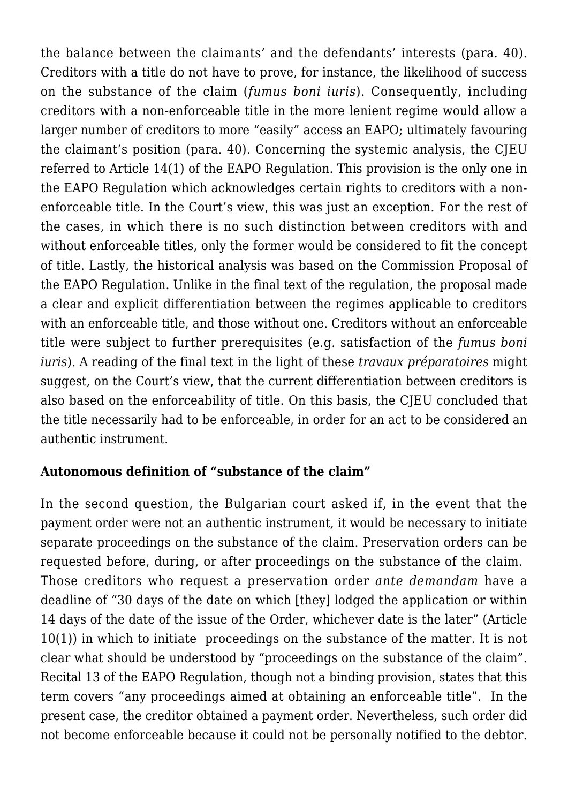the balance between the claimants' and the defendants' interests (para. 40). Creditors with a title do not have to prove, for instance, the likelihood of success on the substance of the claim (*fumus boni iuris*). Consequently, including creditors with a non-enforceable title in the more lenient regime would allow a larger number of creditors to more "easily" access an EAPO; ultimately favouring the claimant's position (para. 40). Concerning the systemic analysis, the CJEU referred to Article 14(1) of the EAPO Regulation. This provision is the only one in the EAPO Regulation which acknowledges certain rights to creditors with a nonenforceable title. In the Court's view, this was just an exception. For the rest of the cases, in which there is no such distinction between creditors with and without enforceable titles, only the former would be considered to fit the concept of title. Lastly, the historical analysis was based on the Commission Proposal of the EAPO Regulation. Unlike in the final text of the regulation, the proposal made a clear and explicit differentiation between the regimes applicable to creditors with an enforceable title, and those without one. Creditors without an enforceable title were subject to further prerequisites (e.g. satisfaction of the *fumus boni iuris*). A reading of the final text in the light of these *travaux préparatoires* might suggest, on the Court's view, that the current differentiation between creditors is also based on the enforceability of title. On this basis, the CJEU concluded that the title necessarily had to be enforceable, in order for an act to be considered an authentic instrument.

### **Autonomous definition of "substance of the claim"**

In the second question, the Bulgarian court asked if, in the event that the payment order were not an authentic instrument, it would be necessary to initiate separate proceedings on the substance of the claim. Preservation orders can be requested before, during, or after proceedings on the substance of the claim. Those creditors who request a preservation order *ante demandam* have a deadline of "30 days of the date on which [they] lodged the application or within 14 days of the date of the issue of the Order, whichever date is the later" (Article 10(1)) in which to initiate proceedings on the substance of the matter. It is not clear what should be understood by "proceedings on the substance of the claim". Recital 13 of the EAPO Regulation, though not a binding provision, states that this term covers "any proceedings aimed at obtaining an enforceable title". In the present case, the creditor obtained a payment order. Nevertheless, such order did not become enforceable because it could not be personally notified to the debtor.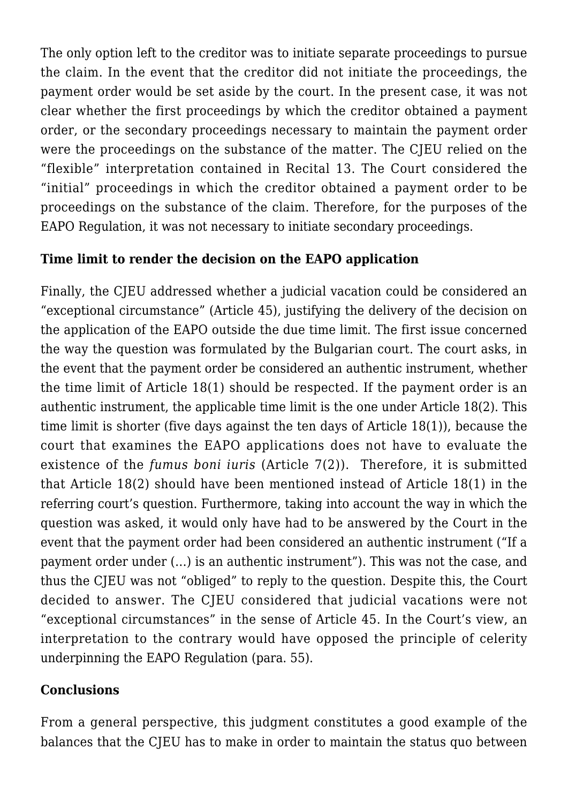The only option left to the creditor was to initiate separate proceedings to pursue the claim. In the event that the creditor did not initiate the proceedings, the payment order would be set aside by the court. In the present case, it was not clear whether the first proceedings by which the creditor obtained a payment order, or the secondary proceedings necessary to maintain the payment order were the proceedings on the substance of the matter. The CJEU relied on the "flexible" interpretation contained in Recital 13. The Court considered the "initial" proceedings in which the creditor obtained a payment order to be proceedings on the substance of the claim. Therefore, for the purposes of the EAPO Regulation, it was not necessary to initiate secondary proceedings.

# **Time limit to render the decision on the EAPO application**

Finally, the CJEU addressed whether a judicial vacation could be considered an "exceptional circumstance" (Article 45), justifying the delivery of the decision on the application of the EAPO outside the due time limit. The first issue concerned the way the question was formulated by the Bulgarian court. The court asks, in the event that the payment order be considered an authentic instrument, whether the time limit of Article 18(1) should be respected. If the payment order is an authentic instrument, the applicable time limit is the one under Article 18(2). This time limit is shorter (five days against the ten days of Article 18(1)), because the court that examines the EAPO applications does not have to evaluate the existence of the *fumus boni iuris* (Article 7(2)). Therefore, it is submitted that Article 18(2) should have been mentioned instead of Article 18(1) in the referring court's question. Furthermore, taking into account the way in which the question was asked, it would only have had to be answered by the Court in the event that the payment order had been considered an authentic instrument ("If a payment order under (…) is an authentic instrument"). This was not the case, and thus the CJEU was not "obliged" to reply to the question. Despite this, the Court decided to answer. The CJEU considered that judicial vacations were not "exceptional circumstances" in the sense of Article 45. In the Court's view, an interpretation to the contrary would have opposed the principle of celerity underpinning the EAPO Regulation (para. 55).

## **Conclusions**

From a general perspective, this judgment constitutes a good example of the balances that the CJEU has to make in order to maintain the status quo between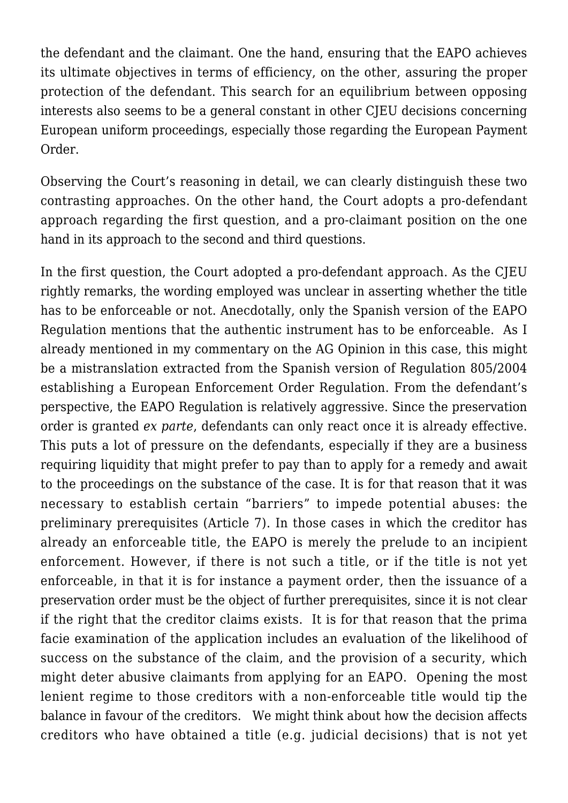the defendant and the claimant. One the hand, ensuring that the EAPO achieves its ultimate objectives in terms of efficiency, on the other, assuring the proper protection of the defendant. This search for an equilibrium between opposing interests also seems to be a general constant in other CJEU decisions concerning European uniform proceedings, especially those regarding the European Payment Order.

Observing the Court's reasoning in detail, we can clearly distinguish these two contrasting approaches. On the other hand, the Court adopts a pro-defendant approach regarding the first question, and a pro-claimant position on the one hand in its approach to the second and third questions.

In the first question, the Court adopted a pro-defendant approach. As the CJEU rightly remarks, the wording employed was unclear in asserting whether the title has to be enforceable or not. Anecdotally, only the Spanish version of the EAPO Regulation mentions that the authentic instrument has to be enforceable. As I already mentioned in my [commentary](https://conflictoflaws.de/2019/first-impressions-from-kirchberg-on-the-eapo-regulation-opinion-of-ag-szpunar-in-case-c-555-18/?print=print) on the AG Opinion in this case, this might be a mistranslation extracted from the Spanish version of Regulation 805/2004 establishing a European Enforcement Order Regulation. From the defendant's perspective, the EAPO Regulation is relatively aggressive. Since the preservation order is granted *ex parte*, defendants can only react once it is already effective. This puts a lot of pressure on the defendants, especially if they are a business requiring liquidity that might prefer to pay than to apply for a remedy and await to the proceedings on the substance of the case. It is for that reason that it was necessary to establish certain "barriers" to impede potential abuses: the preliminary prerequisites (Article 7). In those cases in which the creditor has already an enforceable title, the EAPO is merely the prelude to an incipient enforcement. However, if there is not such a title, or if the title is not yet enforceable, in that it is for instance a payment order, then the issuance of a preservation order must be the object of further prerequisites, since it is not clear if the right that the creditor claims exists. It is for that reason that the prima facie examination of the application includes an evaluation of the likelihood of success on the substance of the claim, and the provision of a security, which might deter abusive claimants from applying for an EAPO. Opening the most lenient regime to those creditors with a non-enforceable title would tip the balance in favour of the creditors. We might think about how the decision affects creditors who have obtained a title (e.g. judicial decisions) that is not yet